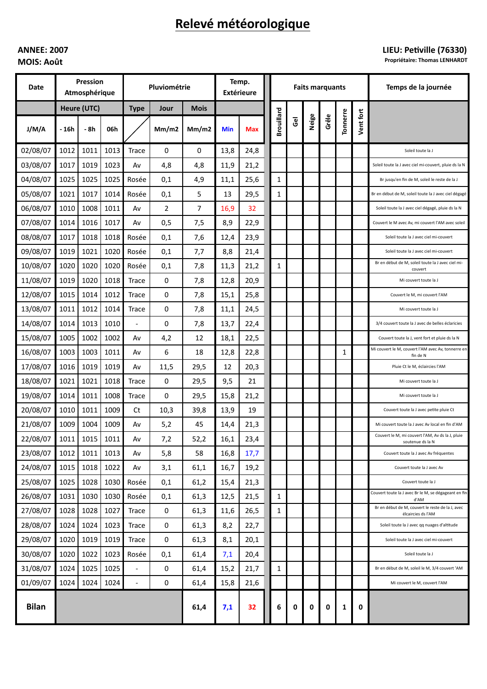# Relevé météorologique

## **ANNEE: 2007 MOIS: Août**

## LIEU: Petiville (76330)

Propriétaire: Thomas LENHARDT

| Date         | Pression<br>Atmosphérique |      |      | Pluviométrie             |       |             | Temp.<br><b>Extérieure</b> |      | <b>Faits marquants</b> |                |       |       |          |           | Temps de la journée                                                    |
|--------------|---------------------------|------|------|--------------------------|-------|-------------|----------------------------|------|------------------------|----------------|-------|-------|----------|-----------|------------------------------------------------------------------------|
|              | Heure (UTC)               |      |      | <b>Type</b>              | Jour  | <b>Mois</b> |                            |      |                        |                |       |       |          |           |                                                                        |
| J/M/A        | - 16h                     | - 8h | 06h  |                          | Mm/m2 | Mm/m2       | <b>Min</b>                 | Max  | <b>Brouillard</b>      | $\overline{6}$ | Neige | Grêle | Tonnerre | Vent fort |                                                                        |
| 02/08/07     | 1012                      | 1011 | 1013 | Trace                    | 0     | 0           | 13,8                       | 24,8 |                        |                |       |       |          |           | Soleil toute la J                                                      |
| 03/08/07     | 1017                      | 1019 | 1023 | A٧                       | 4,8   | 4,8         | 11,9                       | 21,2 |                        |                |       |       |          |           | Soleil toute la J avec ciel mi-couvert, pluie ds la N                  |
| 04/08/07     | 1025                      | 1025 | 1025 | Rosée                    | 0,1   | 4,9         | 11,1                       | 25,6 | $\mathbf{1}$           |                |       |       |          |           | Br jusqu'en fin de M, soleil le reste de la J                          |
| 05/08/07     | 1021                      | 1017 | 1014 | Rosée                    | 0,1   | 5           | 13                         | 29,5 | $\mathbf{1}$           |                |       |       |          |           | Br en début de M, soleil toute la J avec ciel dégagé                   |
| 06/08/07     | 1010                      | 1008 | 1011 | A٧                       | 2     | 7           | 16,9                       | 32   |                        |                |       |       |          |           | Soleil toute la J avec ciel dégagé, pluie ds la N                      |
| 07/08/07     | 1014                      | 1016 | 1017 | A٧                       | 0,5   | 7,5         | 8,9                        | 22,9 |                        |                |       |       |          |           | Couvert le M avec Av, mi couvert l'AM avec soleil                      |
| 08/08/07     | 1017                      | 1018 | 1018 | Rosée                    | 0,1   | 7,6         | 12,4                       | 23,9 |                        |                |       |       |          |           | Soleil toute la J avec ciel mi-couvert                                 |
| 09/08/07     | 1019                      | 1021 | 1020 | Rosée                    | 0,1   | 7,7         | 8,8                        | 21,4 |                        |                |       |       |          |           | Soleil toute la J avec ciel mi-couvert                                 |
| 10/08/07     | 1020                      | 1020 | 1020 | Rosée                    | 0,1   | 7,8         | 11,3                       | 21,2 | $\mathbf{1}$           |                |       |       |          |           | Br en début de M, soleil toute la J avec ciel mi-<br>couvert           |
| 11/08/07     | 1019                      | 1020 | 1018 | <b>Trace</b>             | 0     | 7,8         | 12,8                       | 20,9 |                        |                |       |       |          |           | Mi couvert toute la J                                                  |
| 12/08/07     | 1015                      | 1014 | 1012 | <b>Trace</b>             | 0     | 7,8         | 15,1                       | 25,8 |                        |                |       |       |          |           | Couvert le M, mi couvert l'AM                                          |
| 13/08/07     | 1011                      | 1012 | 1014 | <b>Trace</b>             | 0     | 7,8         | 11,1                       | 24,5 |                        |                |       |       |          |           | Mi couvert toute la J                                                  |
| 14/08/07     | 1014                      | 1013 | 1010 | $\overline{\phantom{0}}$ | 0     | 7,8         | 13,7                       | 22,4 |                        |                |       |       |          |           | 3/4 couvert toute la J avec de belles éclaricies                       |
| 15/08/07     | 1005                      | 1002 | 1002 | A٧                       | 4,2   | 12          | 18,1                       | 22,5 |                        |                |       |       |          |           | Couvert toute la J, vent fort et pluie ds la N                         |
| 16/08/07     | 1003                      | 1003 | 1011 | A٧                       | 6     | 18          | 12,8                       | 22,8 |                        |                |       |       | 1        |           | Mi couvert le M, couvert l'AM avec Av, tonnerre en<br>fin de N         |
| 17/08/07     | 1016                      | 1019 | 1019 | A٧                       | 11,5  | 29,5        | 12                         | 20,3 |                        |                |       |       |          |           | Pluie Ct le M, éclaircies l'AM                                         |
| 18/08/07     | 1021                      | 1021 | 1018 | <b>Trace</b>             | 0     | 29,5        | 9,5                        | 21   |                        |                |       |       |          |           | Mi couvert toute la J                                                  |
| 19/08/07     | 1014                      | 1011 | 1008 | <b>Trace</b>             | 0     | 29,5        | 15,8                       | 21,2 |                        |                |       |       |          |           | Mi couvert toute la J                                                  |
| 20/08/07     | 1010                      | 1011 | 1009 | Ct                       | 10,3  | 39,8        | 13,9                       | 19   |                        |                |       |       |          |           | Couvert toute la J avec petite pluie Ct                                |
| 21/08/07     | 1009                      | 1004 | 1009 | A٧                       | 5,2   | 45          | 14,4                       | 21,3 |                        |                |       |       |          |           | Mi couvert toute la J avec Av local en fin d'AM                        |
| 22/08/07     | 1011                      | 1015 | 1011 | Av                       | 7,2   | 52,2        | 16,1                       | 23,4 |                        |                |       |       |          |           | Couvert le M, mi couvert l'AM, Av ds la J, pluie<br>soutenue ds la N   |
| 23/08/07     | 1012                      | 1011 | 1013 | A٧                       | 5,8   | 58          | 16,8                       | 17,7 |                        |                |       |       |          |           | Couvert toute la J avec Av fréquentes                                  |
| 24/08/07     | 1015                      | 1018 | 1022 | A٧                       | 3,1   | 61,1        | 16,7                       | 19,2 |                        |                |       |       |          |           | Couvert toute la J avec Av                                             |
| 25/08/07     | 1025                      | 1028 | 1030 | Rosée                    | 0,1   | 61,2        | 15,4                       | 21,3 |                        |                |       |       |          |           | Couvert toute la J                                                     |
| 26/08/07     | 1031                      | 1030 | 1030 | Rosée                    | 0,1   | 61,3        | 12,5                       | 21,5 | $\mathbf{1}$           |                |       |       |          |           | Couvert toute la J avec Br le M, se dégageant en fin<br>d'AM           |
| 27/08/07     | 1028                      | 1028 | 1027 | <b>Trace</b>             | 0     | 61,3        | 11,6                       | 26,5 | $\mathbf{1}$           |                |       |       |          |           | Br en début de M, couvert le reste de la J, avec<br>élcaircies ds l'AM |
| 28/08/07     | 1024                      | 1024 | 1023 | Trace                    | 0     | 61,3        | 8,2                        | 22,7 |                        |                |       |       |          |           | Soleil toute la J avec qq nuages d'altitude                            |
| 29/08/07     | 1020                      | 1019 | 1019 | Trace                    | 0     | 61,3        | 8,1                        | 20,1 |                        |                |       |       |          |           | Soleil toute la J avec ciel mi-couvert                                 |
| 30/08/07     | 1020                      | 1022 | 1023 | Rosée                    | 0,1   | 61,4        | 7,1                        | 20,4 |                        |                |       |       |          |           | Soleil toute la J                                                      |
| 31/08/07     | 1024                      | 1025 | 1025 | $\overline{\phantom{a}}$ | 0     | 61,4        | 15,2                       | 21,7 | $\mathbf{1}$           |                |       |       |          |           | Br en début de M, soleil le M, 3/4 couvert 'AM                         |
| 01/09/07     | 1024                      | 1024 | 1024 | $\overline{\phantom{0}}$ | 0     | 61,4        | 15,8                       | 21,6 |                        |                |       |       |          |           | Mi couvert le M, couvert l'AM                                          |
| <b>Bilan</b> |                           |      |      |                          |       | 61,4        | 7,1                        | 32   | 6                      | 0              | 0     | 0     | 1        | 0         |                                                                        |